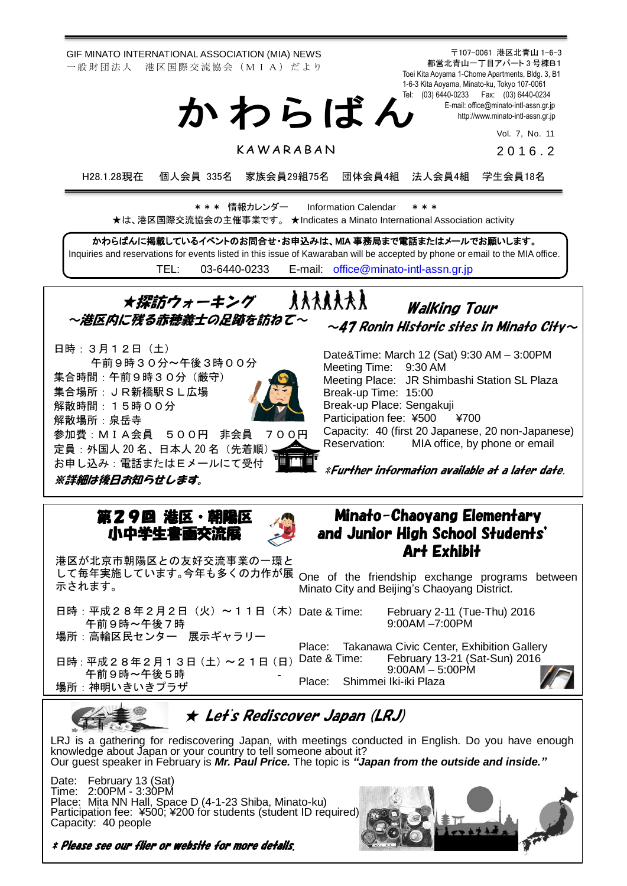GIF MINATO INTERNATIONAL ASSOCIATION (MIA) NEWS 一 般 財 団 法 人 港 区 国 際 交 流 協 会 (M I A) だ よ り

〒107-0061 港区北青山 1-6-3 都営北青山一丁目アパート 3 号棟B1 Toei Kita Aoyama 1-Chome Apartments, Bldg. 3, B1 1-6-3 Kita Aoyama, Minato-ku, Tokyo 107-0061 Tel: (03) 6440-0233 Fax: (03) 6440-0234 E-mail[: office@minato-intl-assn.gr.jp](mailto:office@minato-intl-assn.gr.jp) [http://www.minato-intl-assn.gr.jp](http://www.minato-intl-assn.gr.jp/) か わ ら ば ん

Vol. 7, No. 11

**KAWARABAN** 

2 0 1 6 . 2

H28.1.28現在 個人会員 335名 家族会員29組75名 団体会員4組 法人会員4組 学生会員18名

\* \* \* 情報カレンダー Information Calendar \* \* \* ★は、港区国際交流協会の主催事業です。 ★Indicates a Minato International Association activity

かわらばんに掲載しているイベントのお問合せ・お申込みは、MIA 事務局まで電話またはメールでお願いします。 Inquiries and reservations for events listed in this issue of Kawaraban will be accepted by phone or email to the MIA office. TEL: [03-6440-0233](mailto:TEL:%0903-6440-0233) E-mail: [office@minato-intl-assn.gr.jp](mailto:office@minato-intl-assn.gr.jp)

★探訪ウォーキング **RAARAAR** Walking Tour ~港区内に残る赤穂義士の足跡を訪ねて~  $\sim$ 47 Ronin Historic sites in Minato City $\sim$ 日時:3月12日(土) Date&Time: March 12 (Sat) 9:30 AM – 3:00PM 午前9時30分~午後3時00分 Meeting Time: 9:30 AM 集合時間:午前9時30分(厳守)

Meeting Place: JR Shimbashi Station SL Plaza Break-up Time: 15:00 Break-up Place: Sengakuji Participation fee: ¥500 ¥700 Capacity: 40 (first 20 Japanese, 20 non-Japanese) Reservation: MIA office, by phone or email

\*Further information available at a later date.

Minato-Chaoyang Elementary and Junior High School Students' Art Exhibit

## 第29回 港区・朝 小中学生書画交流

参加費:MIA会員 500円 非会員 700円

定員:外国人 20 名、日本人 20 名(先着順) お申し込み:電話またはEメールにて受付



港区が北京市朝陽区との友好交流事業の一環と して毎年実施しています。今年も多くの力作が展 示されます。

日時: 平成28年2月2日 (火) ~ 11日 (木) Date & Time: 午前9時~午後7時

場所:高輪区民センター 展示ギャラリー

日時: 平成28年2月13日 (土) ~ 21日 (日) Date & Time: 午前9時~午後5時 場所:神明いきいきプラザ

集合場所:JR新橋駅SL広場

※詳細は後日お知らせします。

解散時間:15時00分

解散場所:泉岳寺

One of the friendship exchange programs between Minato City and Beijing's Chaoyang District.

> February 2-11 (Tue-Thu) 2016 9:00AM –7:00PM

Place: Takanawa Civic Center, Exhibition Gallery February 13-21 (Sat-Sun) 2016 9:00AM – 5:00PM

Place: Shimmei Iki-iki Plaza





## ★ Let's Rediscover Japan (LRJ)

LRJ is a gathering for rediscovering Japan, with meetings conducted in English. Do you have enough knowledge about Japan or your country to tell someone about it? Our guest speaker in February is *Mr. Paul Price.* The topic is *"Japan from the outside and inside."*

Date: February 13 (Sat) Time: 2:00PM - 3:30PM Place: Mita NN Hall, Space D (4-1-23 Shiba, Minato-ku) Participation fee: ¥500; ¥200 for students (student ID required) Capacity: 40 people



\* Please see our flier or website for more details.